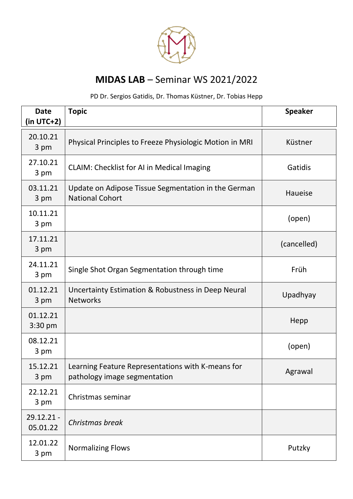

## **MIDAS LAB** – Seminar WS 2021/2022

## PD Dr. Sergios Gatidis, Dr. Thomas Küstner, Dr. Tobias Hepp

| <b>Date</b><br>(in UTC+2)     | <b>Topic</b>                                                                      | <b>Speaker</b> |
|-------------------------------|-----------------------------------------------------------------------------------|----------------|
| 20.10.21<br>3 pm              | Physical Principles to Freeze Physiologic Motion in MRI                           | Küstner        |
| 27.10.21<br>3 pm              | <b>CLAIM: Checklist for AI in Medical Imaging</b>                                 | Gatidis        |
| 03.11.21<br>3 pm              | Update on Adipose Tissue Segmentation in the German<br><b>National Cohort</b>     | Haueise        |
| 10.11.21<br>3 pm              |                                                                                   | (open)         |
| 17.11.21<br>3 pm              |                                                                                   | (cancelled)    |
| 24.11.21<br>3 pm              | Single Shot Organ Segmentation through time                                       | Früh           |
| 01.12.21<br>3 pm              | Uncertainty Estimation & Robustness in Deep Neural<br><b>Networks</b>             | Upadhyay       |
| 01.12.21<br>$3:30 \text{ pm}$ |                                                                                   | Hepp           |
| 08.12.21<br>3 pm              |                                                                                   | (open)         |
| 15.12.21<br>3 pm              | Learning Feature Representations with K-means for<br>pathology image segmentation | Agrawal        |
| 22.12.21<br>3 pm              | Christmas seminar                                                                 |                |
| $29.12.21 -$<br>05.01.22      | Christmas break                                                                   |                |
| 12.01.22<br>3 pm              | <b>Normalizing Flows</b>                                                          | Putzky         |